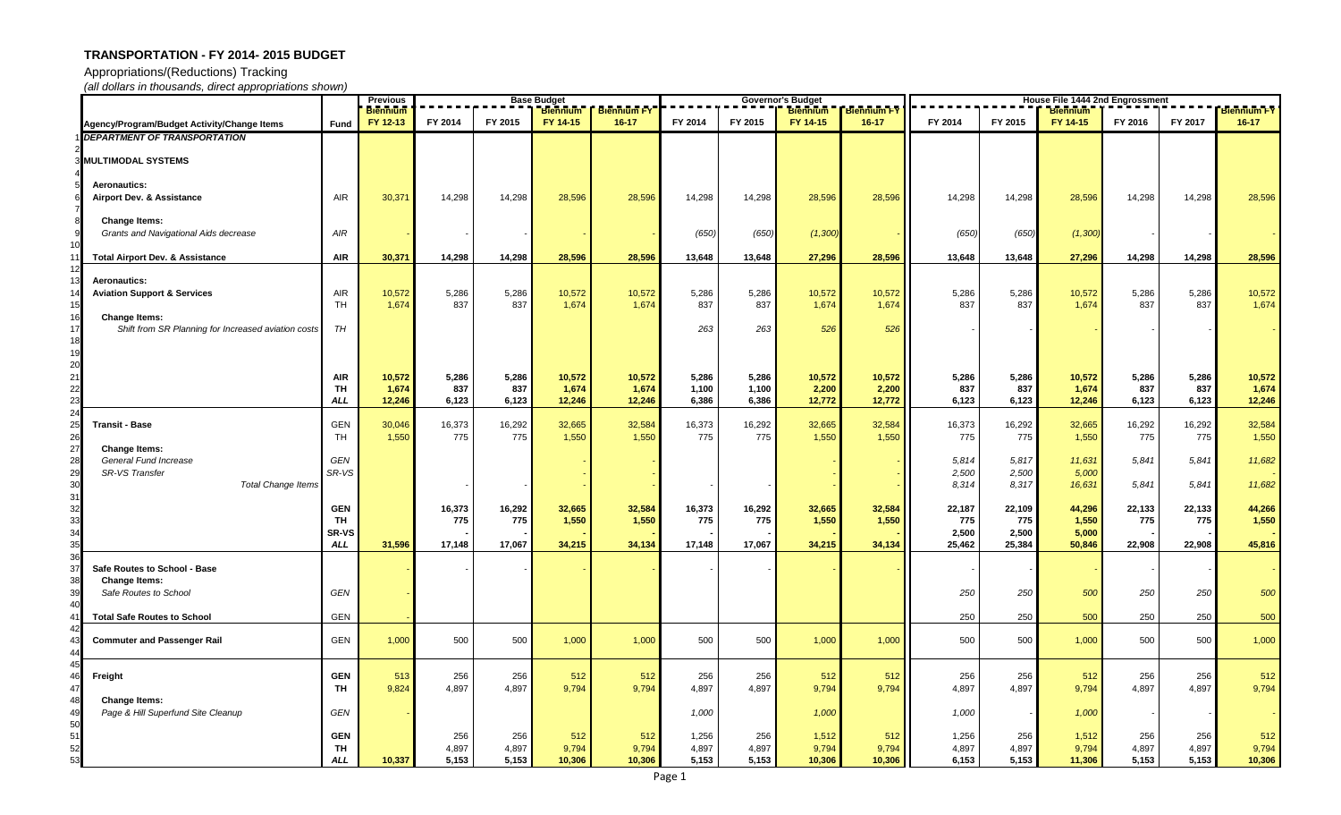Appropriations/(Reductions) Tracking

|                                                                                              |                                       | <b>Previous</b><br><b>Base Budget</b><br><b>Biennium</b><br><b>Biennium</b><br><b>Biennium FY</b> |                       |                       |                           |                           |                         |                         | <b>Governor's Budget</b><br><b>Biennium</b> | <b>Biennium FY</b>        | <b>House File 1444 2nd Engrossment</b><br><b>Biennium FY</b><br><b>Biennium</b> |                         |                           |                       |                       |                           |
|----------------------------------------------------------------------------------------------|---------------------------------------|---------------------------------------------------------------------------------------------------|-----------------------|-----------------------|---------------------------|---------------------------|-------------------------|-------------------------|---------------------------------------------|---------------------------|---------------------------------------------------------------------------------|-------------------------|---------------------------|-----------------------|-----------------------|---------------------------|
| Agency/Program/Budget Activity/Change Items                                                  | <b>Fund</b>                           | FY 12-13                                                                                          | FY 2014               | FY 2015               | FY 14-15                  | $16 - 17$                 | FY 2014                 | FY 2015                 | FY 14-15                                    | $16-17$                   | FY 2014                                                                         | FY 2015                 | FY 14-15                  | FY 2016               | FY 2017               | $16 - 17$                 |
| <b>DEPARTMENT OF TRANSPORTATION</b>                                                          |                                       |                                                                                                   |                       |                       |                           |                           |                         |                         |                                             |                           |                                                                                 |                         |                           |                       |                       |                           |
| <b>MULTIMODAL SYSTEMS</b>                                                                    |                                       |                                                                                                   |                       |                       |                           |                           |                         |                         |                                             |                           |                                                                                 |                         |                           |                       |                       |                           |
| <b>Aeronautics:</b><br>Airport Dev. & Assistance                                             | <b>AIR</b>                            | 30,371                                                                                            | 14,298                | 14,298                | 28,596                    | 28,596                    | 14,298                  | 14,298                  | 28,596                                      | 28,596                    | 14,298                                                                          | 14,298                  | 28,596                    | 14,298                | 14,298                | 28,596                    |
| <b>Change Items:</b><br>Grants and Navigational Aids decrease                                | $A$ IR                                |                                                                                                   |                       |                       |                           |                           | (650)                   | (650)                   | (1, 300)                                    |                           | (650)                                                                           | (650)                   | (1,300)                   |                       |                       |                           |
| <b>Total Airport Dev. &amp; Assistance</b>                                                   | <b>AIR</b>                            | 30,371                                                                                            | 14,298                | 14,298                | 28,596                    | 28,596                    | 13,648                  | 13,648                  | 27,296                                      | 28,596                    | 13,648                                                                          | 13,648                  | 27,296                    | 14,298                | 14,298                | 28,596                    |
| <b>Aeronautics:</b><br><b>Aviation Support &amp; Services</b>                                | <b>AIR</b><br>TH                      | 10,572<br>1,674                                                                                   | 5,286<br>837          | 5,286<br>837          | 10,572<br>1,674           | 10,572<br>1,674           | 5,286<br>837            | 5,286<br>837            | 10,572<br>1,674                             | 10,572<br>1,674           | 5,286<br>837                                                                    | 5,286<br>837            | 10,572<br>1,674           | 5,286<br>837          | 5,286<br>837          | 10,572<br>1,674           |
| <b>Change Items:</b><br>Shift from SR Planning for Increased aviation costs                  | TH                                    |                                                                                                   |                       |                       |                           |                           | 263                     | 263                     | 526                                         | 526                       |                                                                                 |                         |                           |                       |                       |                           |
|                                                                                              | <b>AIR</b><br><b>TH</b><br><b>ALL</b> | 10,572<br>1,674<br>12,246                                                                         | 5,286<br>837<br>6,123 | 5,286<br>837<br>6,123 | 10,572<br>1,674<br>12,246 | 10,572<br>1,674<br>12,246 | 5,286<br>1,100<br>6,386 | 5,286<br>1,100<br>6,386 | 10,572<br>2,200<br>12,772                   | 10,572<br>2,200<br>12,772 | 5,286<br>837<br>6,123                                                           | 5,286<br>837<br>6,123   | 10,572<br>1,674<br>12,246 | 5,286<br>837<br>6,123 | 5,286<br>837<br>6,123 | 10,572<br>1,674<br>12,246 |
| <b>Transit - Base</b>                                                                        | <b>GEN</b>                            | 30,046                                                                                            | 16,373                | 16,292                | 32,665                    | 32,584                    | 16,373                  | 16,292                  | 32,665                                      | 32,584                    | 16,373                                                                          | 16,292                  | 32,665                    | 16,292                | 16,292                | 32,584                    |
|                                                                                              | TH                                    | 1,550                                                                                             | 775                   | 775                   | 1,550                     | 1,550                     | 775                     | 775                     | 1,550                                       | 1,550                     | 775                                                                             | 775                     | 1,550                     | 775                   | 775                   | 1,550                     |
| <b>Change Items:</b><br>General Fund Increase<br>SR-VS Transfer<br><b>Total Change Items</b> | GEN<br>SR-VS                          |                                                                                                   |                       |                       |                           |                           |                         |                         |                                             |                           | 5,814<br>2,500<br>8,314                                                         | 5,817<br>2,500<br>8,317 | 11,631<br>5,000<br>16,631 | 5,841<br>5,841        | 5,841<br>5,841        | 11,682<br>11,682          |
|                                                                                              | <b>GEN</b><br><b>TH</b>               |                                                                                                   | 16,373<br>775         | 16,292<br>775         | 32,665<br>1,550           | 32,584<br>1,550           | 16,373<br>775           | 16,292<br>775           | 32,665<br>1,550                             | 32,584<br>1,550           | 22,187<br>775                                                                   | 22,109<br>775           | 44,296<br>1,550           | 22,133<br>775         | 22,133<br>775         | 44,266<br>1,550           |
|                                                                                              | <b>SR-VS</b><br><b>ALL</b>            | 31,596                                                                                            | 17,148                | 17,067                | 34,215                    | 34,134                    | 17,148                  | 17,067                  | 34,215                                      | 34,134                    | 2,500<br>25,462                                                                 | 2,500<br>25,384         | 5,000<br>50,846           | 22,908                | 22,908                | 45,816                    |
| Safe Routes to School - Base                                                                 |                                       |                                                                                                   |                       |                       |                           |                           |                         |                         |                                             |                           |                                                                                 |                         |                           |                       |                       |                           |
| <b>Change Items:</b><br>Safe Routes to School                                                | GEN                                   |                                                                                                   |                       |                       |                           |                           |                         |                         |                                             |                           | 250                                                                             | 250                     | 500                       | 250                   | 250                   | 500                       |
| 40<br><b>Total Safe Routes to School</b>                                                     | <b>GEN</b>                            |                                                                                                   |                       |                       |                           |                           |                         |                         |                                             |                           | 250                                                                             | 250                     | 500                       | 250                   | 250                   | 500                       |
| <b>Commuter and Passenger Rail</b>                                                           | GEN                                   | 1,000                                                                                             | 500                   | 500                   | 1,000                     | 1,000                     | 500                     | 500                     | 1,000                                       | 1,000                     | 500                                                                             | 500                     | 1,000                     | 500                   | 500                   | 1,000                     |
| Freight                                                                                      | <b>GEN</b><br><b>TH</b>               | 513<br>9,824                                                                                      | 256<br>4,897          | 256<br>4,897          | 512<br>9,794              | 512<br>9,794              | 256<br>4,897            | 256<br>4,897            | 512<br>9,794                                | 512<br>9,794              | 256<br>4,897                                                                    | 256<br>4,897            | 512<br>9,794              | 256<br>4,897          | 256<br>4,897          | 512<br>9,794              |
| <b>Change Items:</b><br>Page & Hill Superfund Site Cleanup<br>50                             | GEN                                   |                                                                                                   |                       |                       |                           |                           | 1,000                   |                         | 1,000                                       |                           | 1,000                                                                           |                         | 1,000                     |                       |                       |                           |
| 51<br>52<br>53                                                                               | <b>GEN</b><br><b>TH</b><br><b>ALL</b> | 10,337                                                                                            | 256<br>4,897<br>5,153 | 256<br>4,897<br>5,153 | 512<br>9,794<br>10,306    | 512<br>9,794<br>10,306    | 1,256<br>4,897<br>5,153 | 256<br>4,897<br>5,153   | 1,512<br>9,794<br>10,306                    | 512<br>9,794<br>10,306    | 1,256<br>4,897<br>6,153                                                         | 256<br>4,897<br>5,153   | 1,512<br>9,794<br>11,306  | 256<br>4,897<br>5,153 | 256<br>4,897<br>5,153 | 512<br>9,794<br>10,306    |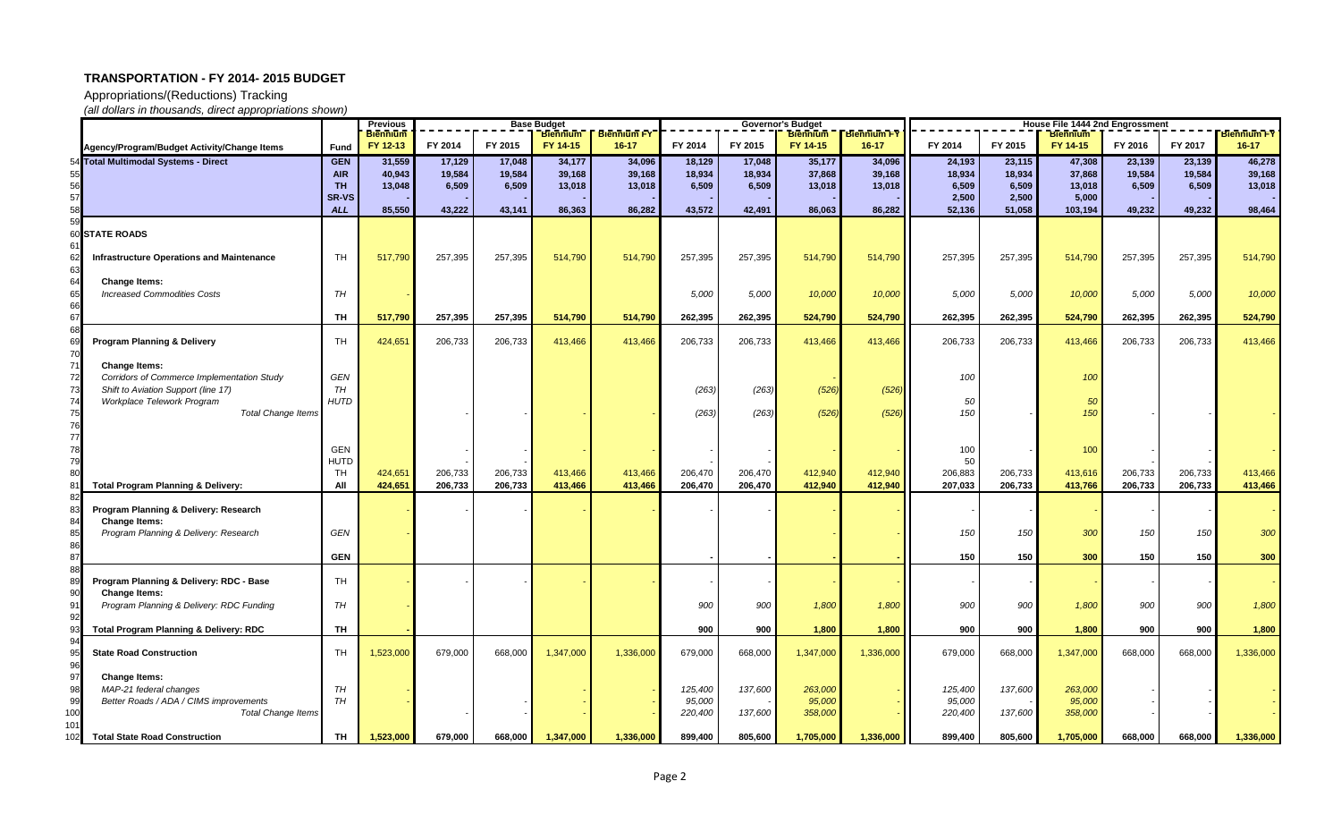Appropriations/(Reductions) Tracking

|           |                                                                  |                          | <b>Previous</b>             | <b>Base Budget</b> |                  |                             |                                 | <b>Governor's Budget</b> |                  | House File 1444 2nd Engrossment |                                 |                   |                  |                             |                  |                  |                                 |
|-----------|------------------------------------------------------------------|--------------------------|-----------------------------|--------------------|------------------|-----------------------------|---------------------------------|--------------------------|------------------|---------------------------------|---------------------------------|-------------------|------------------|-----------------------------|------------------|------------------|---------------------------------|
|           |                                                                  |                          | <b>Biennium</b><br>FY 12-13 | FY 2014            | FY 2015          | <b>Biennium</b><br>FY 14-15 | <b>Biennium FY</b><br>$16 - 17$ | FY 2014                  | FY 2015          | <b>Biennium</b><br>FY 14-15     | <b>Biennium FY</b><br>$16 - 17$ | FY 2014           | FY 2015          | <b>Biennium</b><br>FY 14-15 | FY 2016          | FY 2017          | <b>Biennium FY</b><br>$16 - 17$ |
|           | Agency/Program/Budget Activity/Change Items                      | <b>Fund</b>              |                             |                    |                  |                             |                                 |                          |                  |                                 |                                 |                   |                  |                             |                  |                  |                                 |
|           | 54 Total Multimodal Systems - Direct                             | <b>GEN</b><br><b>AIR</b> | 31,559<br>40,943            | 17,129<br>19,584   | 17,048<br>19,584 | 34,177<br>39,168            | 34,096<br>39,168                | 18,129<br>18,934         | 17,048<br>18,934 | 35,177<br>37,868                | 34,096<br>39,168                | 24,193<br>18,934  | 23,115<br>18,934 | 47,308<br>37,868            | 23,139<br>19,584 | 23,139<br>19,584 | 46,278<br>39,168                |
|           |                                                                  | <b>TH</b>                | 13,048                      | 6,509              | 6,509            | 13,018                      | 13,018                          | 6,509                    | 6,509            | 13,018                          | 13,018                          | 6,509             | 6,509            | 13,018                      | 6,509            | 6,509            | 13,018                          |
|           |                                                                  | <b>SR-VS</b>             |                             |                    |                  |                             |                                 |                          |                  |                                 |                                 | 2,500             | 2,500            | 5,000                       |                  |                  |                                 |
|           |                                                                  | <b>ALL</b>               | 85,550                      | 43,222             | 43,141           | 86,363                      | 86,282                          | 43,572                   | 42,491           | 86,063                          | 86,282                          | 52,136            | 51,058           | 103,194                     | 49,232           | 49,232           | 98,464                          |
|           |                                                                  |                          |                             |                    |                  |                             |                                 |                          |                  |                                 |                                 |                   |                  |                             |                  |                  |                                 |
| 60        | <b>STATE ROADS</b>                                               |                          |                             |                    |                  |                             |                                 |                          |                  |                                 |                                 |                   |                  |                             |                  |                  |                                 |
| -61       |                                                                  |                          |                             |                    |                  |                             |                                 |                          |                  |                                 |                                 |                   |                  |                             |                  |                  |                                 |
|           | <b>Infrastructure Operations and Maintenance</b>                 | TH                       | 517,790                     | 257,395            | 257,395          | 514,790                     | 514,790                         | 257,395                  | 257,395          | 514,790                         | 514,790                         | 257,395           | 257,395          | 514,790                     | 257,395          | 257,395          | 514,790                         |
| 64        | <b>Change Items:</b>                                             |                          |                             |                    |                  |                             |                                 |                          |                  |                                 |                                 |                   |                  |                             |                  |                  |                                 |
|           | <b>Increased Commodities Costs</b>                               | TH                       |                             |                    |                  |                             |                                 | 5,000                    | 5,000            | 10,000                          | 10,000                          | 5,000             | 5,000            | 10,000                      | 5,000            | 5,000            | 10,000                          |
| 66        |                                                                  |                          |                             |                    |                  |                             |                                 |                          |                  |                                 |                                 |                   |                  |                             |                  |                  |                                 |
|           |                                                                  | TH                       | 517,790                     | 257,395            | 257,395          | 514,790                     | 514,790                         | 262,395                  | 262,395          | 524,790                         | 524,790                         | 262,395           | 262,395          | 524,790                     | 262,395          | 262,395          | 524,790                         |
|           |                                                                  |                          |                             |                    |                  |                             |                                 |                          |                  |                                 |                                 |                   |                  |                             |                  |                  |                                 |
| 70        | <b>Program Planning &amp; Delivery</b>                           | TH                       | 424,651                     | 206,733            | 206,733          | 413,466                     | 413,466                         | 206,733                  | 206,733          | 413,466                         | 413,466                         | 206,733           | 206,733          | 413,466                     | 206,733          | 206,733          | 413,466                         |
| 71        | <b>Change Items:</b>                                             |                          |                             |                    |                  |                             |                                 |                          |                  |                                 |                                 |                   |                  |                             |                  |                  |                                 |
| 72        | Corridors of Commerce Implementation Study                       | GEN                      |                             |                    |                  |                             |                                 |                          |                  |                                 |                                 | 100               |                  | 100                         |                  |                  |                                 |
| 73        | Shift to Aviation Support (line 17)                              | TH                       |                             |                    |                  |                             |                                 | (263)                    | (263)            | (526)                           | (526)                           |                   |                  |                             |                  |                  |                                 |
| 74        | Workplace Telework Program                                       | <b>HUTD</b>              |                             |                    |                  |                             |                                 |                          |                  |                                 |                                 | 50                |                  | 5 <sub>0</sub>              |                  |                  |                                 |
| 75        | <b>Total Change Items</b>                                        |                          |                             |                    |                  |                             |                                 | (263)                    | (263)            | (526)                           | (526)                           | 150               |                  | 150                         |                  |                  |                                 |
| 76        |                                                                  |                          |                             |                    |                  |                             |                                 |                          |                  |                                 |                                 |                   |                  |                             |                  |                  |                                 |
| 77        |                                                                  |                          |                             |                    |                  |                             |                                 |                          |                  |                                 |                                 |                   |                  |                             |                  |                  |                                 |
|           |                                                                  | GEN                      |                             |                    |                  |                             |                                 |                          |                  |                                 |                                 | 100<br>50         |                  | 100                         |                  |                  |                                 |
|           |                                                                  | <b>HUTD</b><br>TH        | 424,651                     | 206,733            | 206,733          | 413,466                     | 413,466                         | 206,470                  | 206,470          | 412,940                         | 412,940                         | 206,883           | 206,733          | 413,616                     | 206,733          | 206,733          | 413,466                         |
|           | <b>Total Program Planning &amp; Delivery:</b>                    | All                      | 424,651                     | 206,733            | 206,733          | 413,466                     | 413,466                         | 206,470                  | 206,470          | 412,940                         | 412,940                         | 207,033           | 206,733          | 413,766                     | 206,733          | 206,733          | 413,466                         |
|           |                                                                  |                          |                             |                    |                  |                             |                                 |                          |                  |                                 |                                 |                   |                  |                             |                  |                  |                                 |
|           | Program Planning & Delivery: Research                            |                          |                             |                    |                  |                             |                                 |                          |                  |                                 |                                 |                   |                  |                             |                  |                  |                                 |
| 84        | <b>Change Items:</b>                                             |                          |                             |                    |                  |                             |                                 |                          |                  |                                 |                                 |                   |                  |                             |                  |                  |                                 |
|           | Program Planning & Delivery: Research                            | GEN                      |                             |                    |                  |                             |                                 |                          |                  |                                 |                                 | 150               | 150              | 300                         | 150              | 150              | 300                             |
| 86<br>87  |                                                                  | <b>GEN</b>               |                             |                    |                  |                             |                                 |                          |                  |                                 |                                 | 150               | 150              | 300                         | 150              | 150              | 300                             |
|           |                                                                  |                          |                             |                    |                  |                             |                                 |                          |                  |                                 |                                 |                   |                  |                             |                  |                  |                                 |
| 89        | Program Planning & Delivery: RDC - Base                          | TH                       |                             |                    |                  |                             |                                 |                          |                  |                                 |                                 |                   |                  |                             |                  |                  |                                 |
| 90        | <b>Change Items:</b>                                             |                          |                             |                    |                  |                             |                                 |                          |                  |                                 |                                 |                   |                  |                             |                  |                  |                                 |
| 91<br>-92 | Program Planning & Delivery: RDC Funding                         | TH                       |                             |                    |                  |                             |                                 | 900                      | 900              | 1,800                           | 1,800                           | 900               | 900              | 1,800                       | 900              | 900              | 1,800                           |
|           | <b>Total Program Planning &amp; Delivery: RDC</b>                | TH                       |                             |                    |                  |                             |                                 | 900                      | 900              | 1,800                           | 1,800                           | 900               | 900              | 1,800                       | 900              | 900              | 1,800                           |
| 94        |                                                                  |                          |                             |                    |                  |                             |                                 |                          |                  |                                 |                                 |                   |                  |                             |                  |                  |                                 |
| 95        | <b>State Road Construction</b>                                   | TH                       | 1,523,000                   | 679,000            | 668,000          | 1,347,000                   | 1,336,000                       | 679,000                  | 668,000          | 1,347,000                       | 1,336,000                       | 679,000           | 668,000          | 1,347,000                   | 668,000          | 668,000          | 1,336,000                       |
| 96        |                                                                  |                          |                             |                    |                  |                             |                                 |                          |                  |                                 |                                 |                   |                  |                             |                  |                  |                                 |
| 97        | <b>Change Items:</b>                                             |                          |                             |                    |                  |                             |                                 |                          |                  |                                 |                                 |                   |                  |                             |                  |                  |                                 |
| 98        | MAP-21 federal changes<br>Better Roads / ADA / CIMS improvements | TH<br>TH                 |                             |                    |                  |                             |                                 | 125,400                  | 137,600          | 263,000<br>95,000               |                                 | 125,400           | 137,600          | 263,000<br>95,000           |                  |                  |                                 |
| 99<br>100 | <b>Total Change Items</b>                                        |                          |                             |                    |                  |                             |                                 | 95,000<br>220,400        | 137,600          | 358,000                         |                                 | 95,000<br>220,400 | 137,600          | 358,000                     |                  |                  |                                 |
| 101       |                                                                  |                          |                             |                    |                  |                             |                                 |                          |                  |                                 |                                 |                   |                  |                             |                  |                  |                                 |
| 102       | <b>Total State Road Construction</b>                             | TH                       | 1,523,000                   | 679,000            | 668,000          | 1,347,000                   | 1,336,000                       | 899,400                  | 805,600          | 1,705,000                       | 1,336,000                       | 899,400           | 805,600          | 1,705,000                   | 668,000          | 668,000          | 1,336,000                       |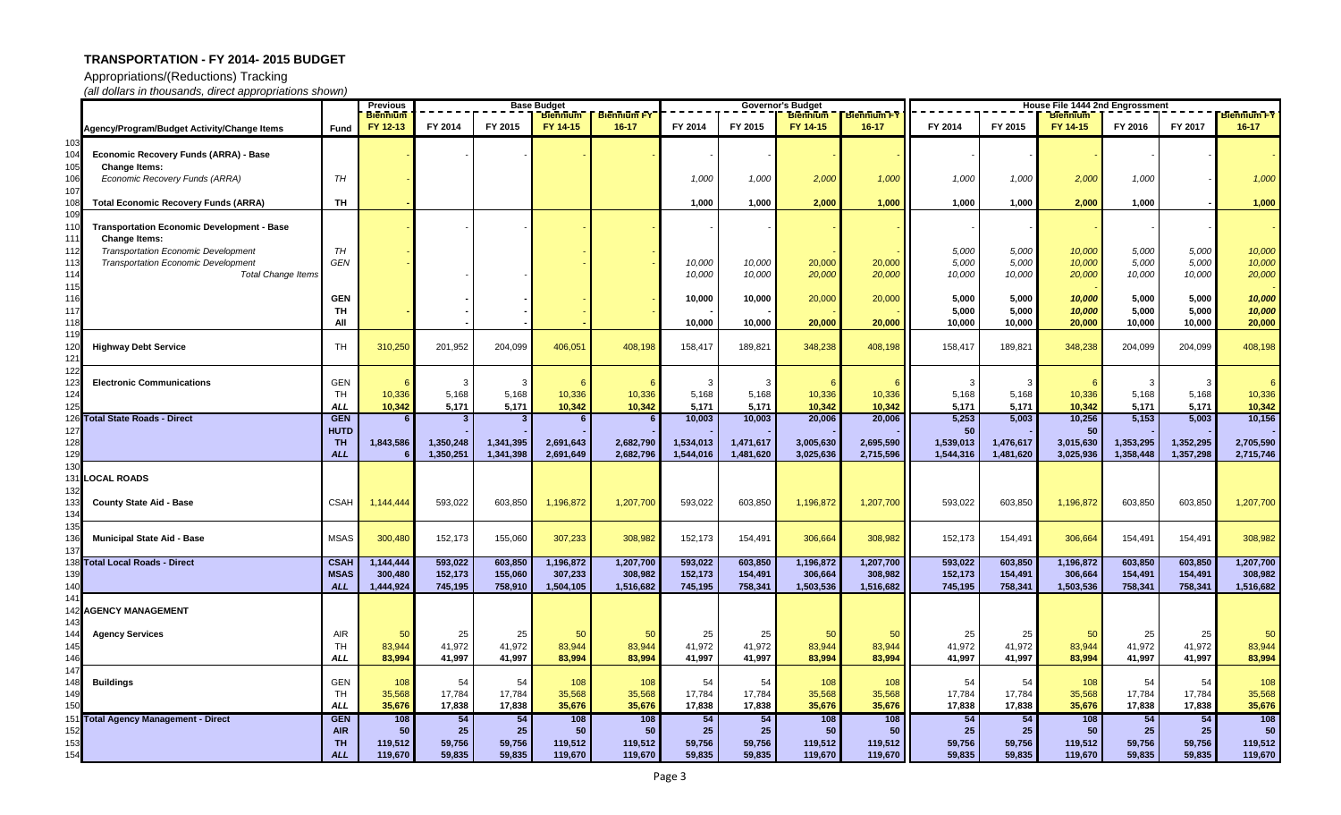Appropriations/(Reductions) Tracking

|            |                                                   |                   | <b>Previous</b> | <b>Base Budget</b> |           |                 |                    |           |           | <b>Governor's Budget</b> |                        | House File 1444 2nd Engrossment |           |                 |           |                        |                    |
|------------|---------------------------------------------------|-------------------|-----------------|--------------------|-----------|-----------------|--------------------|-----------|-----------|--------------------------|------------------------|---------------------------------|-----------|-----------------|-----------|------------------------|--------------------|
|            |                                                   |                   | <b>Biennium</b> |                    |           | <b>Biennium</b> | <b>Biennium FY</b> |           |           | <b>Biennium</b>          | <b>Biennium FY</b>     |                                 |           | <b>Biennium</b> |           |                        | <b>Biennium FY</b> |
|            | Agency/Program/Budget Activity/Change Items       | Fund              | FY 12-13        | FY 2014            | FY 2015   | FY 14-15        | $16 - 17$          | FY 2014   | FY 2015   | FY 14-15                 | $16 - 17$              | FY 2014                         | FY 2015   | FY 14-15        | FY 2016   | FY 2017                | $16 - 17$          |
| 103        |                                                   |                   |                 |                    |           |                 |                    |           |           |                          |                        |                                 |           |                 |           |                        |                    |
|            | <b>Economic Recovery Funds (ARRA) - Base</b>      |                   |                 |                    |           |                 |                    |           |           |                          |                        |                                 |           |                 |           |                        |                    |
| 105        | <b>Change Items:</b>                              |                   |                 |                    |           |                 |                    |           |           |                          |                        |                                 |           |                 |           |                        |                    |
| 106        | Economic Recovery Funds (ARRA)                    | TH                |                 |                    |           |                 |                    | 1,000     | 1,000     | 2,000                    | 1,000                  | 1,000                           | 1,000     | 2,000           | 1,000     |                        | 1,000              |
| 107        |                                                   |                   |                 |                    |           |                 |                    |           |           |                          |                        |                                 |           |                 |           |                        |                    |
|            | <b>Total Economic Recovery Funds (ARRA)</b>       | TH                |                 |                    |           |                 |                    | 1,000     | 1,000     | 2,000                    | 1,000                  | 1,000                           | 1,000     | 2,000           | 1,000     |                        | 1,000              |
|            | <b>Transportation Economic Development - Base</b> |                   |                 |                    |           |                 |                    |           |           |                          |                        |                                 |           |                 |           |                        |                    |
| 111        | <b>Change Items:</b>                              |                   |                 |                    |           |                 |                    |           |           |                          |                        |                                 |           |                 |           |                        |                    |
| 112        | <b>Transportation Economic Development</b>        | TH                |                 |                    |           |                 |                    |           |           |                          |                        | 5,000                           | 5,000     | 10,000          | 5,000     | 5,000                  | 10,000             |
| 113        | <b>Transportation Economic Development</b>        | <b>GEN</b>        |                 |                    |           |                 |                    | 10,000    | 10,000    | 20,000                   | 20,000                 | 5,000                           | 5,000     | 10,000          | 5,000     | 5,000                  | 10,000             |
| 114        | <b>Total Change Items</b>                         |                   |                 |                    |           |                 |                    | 10,000    | 10,000    | 20,000                   | 20,000                 | 10,000                          | 10,000    | 20,000          | 10,000    | 10,000                 | 20,000             |
| 115        |                                                   |                   |                 |                    |           |                 |                    |           |           |                          |                        |                                 |           |                 |           |                        |                    |
| 116        |                                                   | <b>GEN</b>        |                 |                    |           |                 |                    | 10,000    | 10,000    | 20,000                   | 20,000                 | 5,000                           | 5,000     | 10,000          | 5,000     | 5,000                  | 10,000             |
| 117        |                                                   | TH                |                 |                    |           |                 |                    |           |           |                          |                        | 5,000                           | 5,000     | 10,000          | 5,000     | 5,000                  | 10,000             |
| 1181       |                                                   | All               |                 |                    |           |                 |                    | 10,000    | 10,000    | 20,000                   | 20,000                 | 10,000                          | 10,000    | 20,000          | 10,000    | 10,000                 | 20,000             |
|            |                                                   |                   |                 |                    |           |                 |                    |           |           |                          |                        |                                 |           |                 |           |                        |                    |
| 20         | <b>Highway Debt Service</b>                       | TH                | 310,250         | 201,952            | 204,099   | 406,051         | 408,198            | 158,417   | 189,821   | 348,238                  | 408,198                | 158,417                         | 189,821   | 348,238         | 204,099   | 204,099                | 408,198            |
|            |                                                   |                   |                 |                    |           |                 |                    |           |           |                          |                        |                                 |           |                 |           |                        |                    |
|            |                                                   |                   |                 |                    |           |                 |                    |           |           |                          |                        |                                 |           |                 |           |                        |                    |
|            | <b>Electronic Communications</b>                  | <b>GEN</b>        |                 |                    |           |                 |                    |           |           |                          |                        |                                 |           |                 |           |                        | -6                 |
| 124        |                                                   | TH.               | 10,336          | 5,168              | 5,168     | 10,336          | 10,336             | 5,168     | 5,168     | 10,336                   | 10,336                 | 5,168                           | 5,168     | 10,336          | 5,168     | 5,168                  | 10,336             |
| 25         |                                                   | <b>ALL</b>        | 10,342          | 5,171              | 5,171     | 10,342          | 10,342             | 5,171     | 5,171     | 10,342                   | 10,342                 | 5,171                           | 5,171     | 10,342          | 5,171     | 5,171                  | 10,342             |
|            | 126 Total State Roads - Direct                    | <b>GEN</b>        |                 | $\mathbf{3}$       |           |                 |                    | 10,003    | 10,003    | 20,006                   | 20,006                 | 5,253                           | 5,003     | 10,256          | 5,153     | 5,003                  | 10,156             |
| 127        |                                                   | <b>HUTD</b>       |                 |                    |           |                 |                    |           |           |                          |                        | 50                              |           | 50 <sub>1</sub> |           |                        |                    |
| 28<br>29   |                                                   | TH.<br><b>ALL</b> | 1,843,586       | 1,350,248          | 1,341,395 | 2,691,643       | 2,682,790          | 1,534,013 | 1,471,617 | 3,005,630                | 2,695,590<br>2,715,596 | 1,539,013                       | 1,476,617 | 3,015,630       | 1,353,295 | 1,352,295<br>1,357,298 | 2,705,590          |
| 30         |                                                   |                   |                 | 1,350,251          | 1,341,398 | 2,691,649       | 2,682,796          | 1,544,016 | 1,481,620 | 3,025,636                |                        | 1,544,316                       | 1,481,620 | 3,025,936       | 1,358,448 |                        | 2,715,746          |
|            | <b>LOCAL ROADS</b>                                |                   |                 |                    |           |                 |                    |           |           |                          |                        |                                 |           |                 |           |                        |                    |
|            |                                                   |                   |                 |                    |           |                 |                    |           |           |                          |                        |                                 |           |                 |           |                        |                    |
|            | <b>County State Aid - Base</b>                    | <b>CSAH</b>       | 1,144,444       | 593,022            | 603,850   | 1,196,872       | 1,207,700          | 593,022   | 603,850   | 1,196,872                | 1,207,700              | 593,022                         | 603,850   | 1,196,872       | 603,850   | 603,850                | 1,207,700          |
| 134        |                                                   |                   |                 |                    |           |                 |                    |           |           |                          |                        |                                 |           |                 |           |                        |                    |
|            |                                                   |                   |                 |                    |           |                 |                    |           |           |                          |                        |                                 |           |                 |           |                        |                    |
|            | <b>Municipal State Aid - Base</b>                 | <b>MSAS</b>       | 300,480         | 152,173            | 155,060   | 307,233         | 308,982            | 152,173   | 154,491   | 306,664                  | 308,982                | 152,173                         | 154,491   | 306,664         | 154,491   | 154,491                | 308,982            |
|            |                                                   |                   |                 |                    |           |                 |                    |           |           |                          |                        |                                 |           |                 |           |                        |                    |
|            | 38 Total Local Roads - Direct                     | <b>CSAH</b>       | 1,144,444       | 593,022            | 603,850   | 1,196,872       | 1,207,700          | 593,022   | 603,850   | 1,196,872                | 1,207,700              | 593,022                         | 603,850   | 1,196,872       | 603,850   | 603,850                | 1,207,700          |
|            |                                                   | <b>MSAS</b>       | 300,480         | 152,173            | 155,060   | 307,233         | 308,982            | 152,173   | 154,491   | 306,664                  | 308,982                | 152,173                         | 154,491   | 306,664         | 154,491   | 154,491                | 308,982            |
|            |                                                   | <b>ALL</b>        | 1,444,924       | 745,195            | 758,910   | 1,504,105       | 1,516,682          | 745,195   | 758,341   | 1,503,536                | 1,516,682              | 745,195                         | 758,341   | 1,503,536       | 758,341   | 758,341                | 1,516,682          |
|            |                                                   |                   |                 |                    |           |                 |                    |           |           |                          |                        |                                 |           |                 |           |                        |                    |
|            | 2 AGENCY MANAGEMENT                               |                   |                 |                    |           |                 |                    |           |           |                          |                        |                                 |           |                 |           |                        |                    |
| 143        |                                                   |                   |                 |                    |           |                 |                    |           |           |                          |                        |                                 |           |                 |           |                        |                    |
| 144        | <b>Agency Services</b>                            | <b>AIR</b>        | 50              | 25                 | 25        | 50              | 50                 | 25        | 25        | 50                       | 50                     | 25                              | $25 \mid$ | 50              | 25        | 25                     | 50                 |
| 145        |                                                   | TH.<br><b>ALL</b> | 83,944          | 41,972<br>41,997   | 41,972    | 83,944          | 83,944             | 41,972    | 41,972    | 83,944                   | 83,944                 | 41,972                          | 41,972    | 83,944          | 41,972    | 41,972                 | 83,944             |
| 146        |                                                   |                   | 83,994          |                    | 41,997    | 83,994          | 83,994             | 41,997    | 41,997    | 83,994                   | 83,994                 | 41,997                          | 41,997    | 83,994          | 41,997    | 41,997                 | 83,994             |
| 147<br>148 | <b>Buildings</b>                                  | <b>GEN</b>        | 108             | 54                 | 54        | 108             | 108                | 54        | 54        | 108                      | 108                    | 54                              | 54        | 108             | 54        | 54                     | 108                |
| 149        |                                                   | TH                | 35,568          | 17,784             | 17,784    | 35,568          | 35,568             | 17,784    | 17,784    | 35,568                   | 35,568                 | 17,784                          | 17,784    | 35,568          | 17,784    | 17,784                 | 35,568             |
| 150        |                                                   | <b>ALL</b>        | 35,676          | 17,838             | 17,838    | 35,676          | 35,676             | 17,838    | 17,838    | 35,676                   | 35,676                 | 17,838                          | 17,838    | 35,676          | 17,838    | 17,838                 | 35,676             |
|            | 151 Total Agency Management - Direct              | <b>GEN</b>        | 108             | 54                 | 54        | 108             | 108                | 54        | 54        | 108                      | 108                    | 54                              | 54        | 108             | 54        | 54                     | 108                |
| 152        |                                                   | <b>AIR</b>        | 50              | 25                 | 25        | 50              | 50                 | 25        | 25        | 50                       | 50                     | 25                              | 25        | 50              | 25        | 25                     | 50                 |
| 153        |                                                   | TH <sub></sub>    | 119,512         | 59,756             | 59,756    | 119,512         | 119,512            | 59,756    | 59,756    | 119,512                  | 119,512                | 59,756                          | 59,756    | 119,512         | 59,756    | 59,756                 | 119,512            |
| 154        |                                                   | <b>ALL</b>        | 119,670         | 59,835             | 59,835    | 119,670         | 119,670            | 59,835    | 59,835    | 119,670                  | 119,670                | 59,835                          | 59,835    | 119,670         | 59,835    | 59,835                 | 119,670            |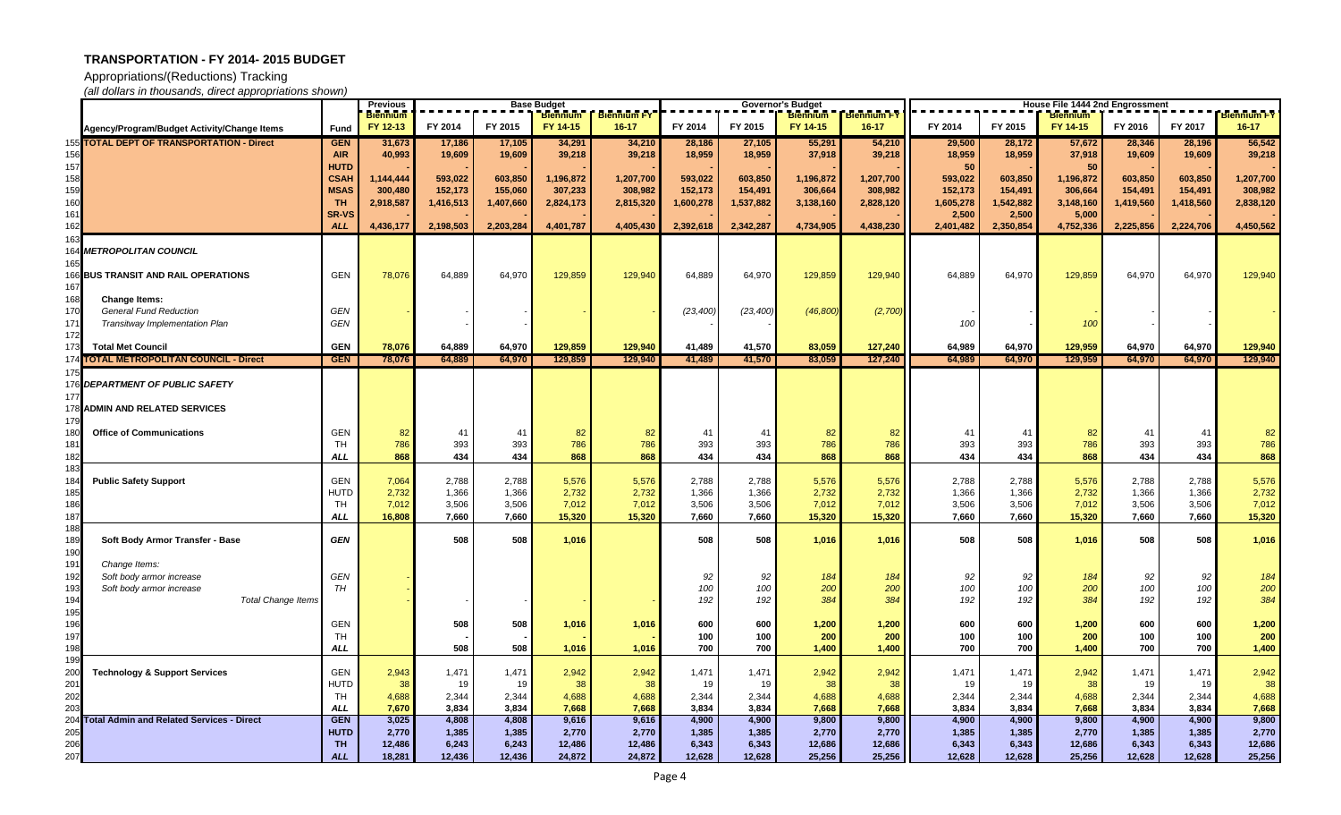Appropriations/(Reductions) Tracking

|            |                                               |              | <b>Previous</b> | <b>Base Budget</b><br><b>Biennium   Biennium FY</b> |           |           |           | <b>Governor's Budget</b> |            |                 |                    | House File 1444 2nd Engrossment |            |                 |            |            |                    |
|------------|-----------------------------------------------|--------------|-----------------|-----------------------------------------------------|-----------|-----------|-----------|--------------------------|------------|-----------------|--------------------|---------------------------------|------------|-----------------|------------|------------|--------------------|
|            |                                               |              | <b>Biennium</b> |                                                     |           |           |           |                          |            | <b>Biennium</b> | <b>Biennium FY</b> |                                 |            | <b>Biennium</b> |            |            | <b>Biennium FY</b> |
|            | Agency/Program/Budget Activity/Change Items   | Fund         | FY 12-13        | FY 2014                                             | FY 2015   | FY 14-15  | $16 - 17$ | FY 2014                  | FY 2015    | FY 14-15        | $16 - 17$          | FY 2014                         | FY 2015    | FY 14-15        | FY 2016    | FY 2017    | $16 - 17$          |
|            | 155 TOTAL DEPT OF TRANSPORTATION - Direct     | <b>GEN</b>   | 31,673          | 17,186                                              | 17,105    | 34,291    | 34,210    | 28,186                   | 27,105     | 55,291          | 54,210             | 29,500                          | 28,172     | 57,672          | 28,346     | 28,196     | 56,542             |
|            |                                               | <b>AIR</b>   | 40,993          | 19,609                                              | 19,609    | 39,218    | 39,218    | 18,959                   | 18,959     | 37,918          | 39,218             | 18,959                          | 18,959     | 37,918          | 19,609     | 19,609     | 39,218             |
| 157        |                                               | <b>HUTD</b>  |                 |                                                     |           |           |           |                          |            |                 |                    | -50                             |            | 50              |            |            |                    |
| 158        |                                               | <b>CSAH</b>  | 1,144,444       | 593,022                                             | 603,850   | 1,196,872 | 1,207,700 | 593,022                  | 603,850    | 1,196,872       | 1,207,700          | 593,022                         | 603,850    | 1,196,872       | 603,850    | 603,850    | 1,207,700          |
| 159        |                                               | <b>MSAS</b>  | 300,480         | 152,173                                             | 155,060   | 307,233   | 308,982   | 152,173                  | 154,491    | 306,664         | 308,982            | 152,173                         | 154,491    | 306,664         | 154,491    | 154,491    | 308,982            |
| 160        |                                               | <b>TH</b>    | 2,918,587       | 1,416,513                                           | 1,407,660 | 2,824,173 | 2,815,320 | 1,600,278                | 1,537,882  | 3,138,160       | 2,828,120          | 1,605,278                       | 1,542,882  | 3,148,160       | 1,419,560  | 1,418,560  | 2,838,120          |
| 161        |                                               | <b>SR-VS</b> |                 |                                                     |           |           |           |                          |            |                 |                    | 2,500                           | 2,500      | 5,000           |            |            |                    |
| 162        |                                               | <b>ALL</b>   | 4,436,177       | 2,198,503                                           | 2,203,284 | 4,401,787 | 4,405,430 | 2,392,618                | 2,342,287  | 4,734,905       | 4,438,230          | 2,401,482                       | 2,350,854  | 4,752,336       | 2,225,856  | 2,224,706  | 4,450,562          |
|            |                                               |              |                 |                                                     |           |           |           |                          |            |                 |                    |                                 |            |                 |            |            |                    |
|            | <b>METROPOLITAN COUNCIL</b>                   |              |                 |                                                     |           |           |           |                          |            |                 |                    |                                 |            |                 |            |            |                    |
|            | <b>166 BUS TRANSIT AND RAIL OPERATIONS</b>    | <b>GEN</b>   | 78,076          | 64,889                                              | 64,970    | 129,859   | 129,940   | 64,889                   | 64,970     | 129,859         | 129,940            | 64,889                          | 64,970     | 129,859         | 64,970     | 64,970     | 129,940            |
| 167        |                                               |              |                 |                                                     |           |           |           |                          |            |                 |                    |                                 |            |                 |            |            |                    |
| 168        | <b>Change Items:</b>                          |              |                 |                                                     |           |           |           |                          |            |                 |                    |                                 |            |                 |            |            |                    |
| 170        | <b>General Fund Reduction</b>                 | GEN          |                 |                                                     |           |           |           | (23, 400)                | (23, 400)  | (46, 800)       | (2,700)            |                                 |            |                 |            |            |                    |
| 171        | <b>Transitway Implementation Plan</b>         | GEN          |                 |                                                     |           |           |           |                          |            |                 |                    | 100                             |            | 100             |            |            |                    |
| 172        |                                               |              |                 |                                                     |           |           |           |                          |            |                 |                    |                                 |            |                 |            |            |                    |
| 173        | <b>Total Met Council</b>                      | <b>GEN</b>   | 78,076          | 64,889                                              | 64,970    | 129,859   | 129,940   | 41,489                   | 41,570     | 83,059          | 127,240            | 64,989                          | 64,970     | 129,959         | 64,970     | 64,970     | 129,940            |
|            | <b>I TOTAL METROPOLITAN COUNCIL - Direct</b>  | <b>GEN</b>   | 78,076          | 64,889                                              | 64,970    | 129,859   | 129,940   | 41,489                   | 41,570     | 83,059          | 127,240            | 64,989                          | 64,970     | 129,959         | 64,970     | 64,970     | 129,940            |
|            |                                               |              |                 |                                                     |           |           |           |                          |            |                 |                    |                                 |            |                 |            |            |                    |
|            | 176 DEPARTMENT OF PUBLIC SAFETY               |              |                 |                                                     |           |           |           |                          |            |                 |                    |                                 |            |                 |            |            |                    |
|            |                                               |              |                 |                                                     |           |           |           |                          |            |                 |                    |                                 |            |                 |            |            |                    |
|            | <b>ADMIN AND RELATED SERVICES</b>             |              |                 |                                                     |           |           |           |                          |            |                 |                    |                                 |            |                 |            |            |                    |
| 179        |                                               |              |                 |                                                     |           |           |           |                          |            |                 |                    |                                 |            |                 |            |            |                    |
| 180        | <b>Office of Communications</b>               | GEN          | 82              | 41                                                  | 41        | 82        | 82        | -41                      | 41         | 82              | 82                 | -41                             | 41         | 82              | 41         | -41        | 82                 |
| 181        |                                               | <b>TH</b>    | 786             | 393                                                 | 393       | 786       | 786       | 393                      | 393        | 786             | 786                | 393                             | 393        | 786             | 393        | 393        | 786                |
| 182        |                                               | <b>ALL</b>   | 868             | 434                                                 | 434       | 868       | 868       | 434                      | 434        | 868             | 868                | 434                             | 434        | 868             | 434        | 434        | 868                |
| 183        |                                               |              |                 |                                                     |           |           |           |                          |            |                 |                    |                                 |            |                 |            |            |                    |
| 184        | <b>Public Safety Support</b>                  | <b>GEN</b>   | 7,064           | 2,788                                               | 2,788     | 5,576     | 5,576     | 2,788                    | 2,788      | 5,576           | 5,576              | 2,788                           | 2,788      | 5,576           | 2,788      | 2,788      | 5,576              |
| 185        |                                               | <b>HUTD</b>  | 2,732           | 1,366                                               | 1,366     | 2,732     | 2,732     | 1,366                    | 1,366      | 2,732           | 2,732              | 1,366                           | 1,366      | 2,732           | 1,366      | 1,366      | 2,732              |
| 186        |                                               | TH           | 7,012           | 3,506                                               | 3,506     | 7,012     | 7,012     | 3,506                    | 3,506      | 7,012           | 7,012              | 3,506                           | 3,506      | 7,012           | 3,506      | 3,506      | 7,012              |
| 187        |                                               | <b>ALL</b>   | 16,808          | 7,660                                               | 7,660     | 15,320    | 15,320    | 7,660                    | 7,660      | 15,320          | 15,320             | 7,660                           | 7,660      | 15,320          | 7,660      | 7,660      | 15,320             |
| 188        |                                               |              |                 |                                                     |           |           |           |                          |            |                 |                    |                                 |            |                 |            |            |                    |
| 189        | Soft Body Armor Transfer - Base               | <b>GEN</b>   |                 | 508                                                 | 508       | 1,016     |           | 508                      | 508        | 1,016           | 1,016              | 508                             | 508        | 1,016           | 508        | 508        | 1,016              |
| 190        |                                               |              |                 |                                                     |           |           |           |                          |            |                 |                    |                                 |            |                 |            |            |                    |
| 191        | Change Items:                                 |              |                 |                                                     |           |           |           |                          |            |                 |                    |                                 |            |                 |            |            |                    |
| 192        | Soft body armor increase                      | GEN          |                 |                                                     |           |           |           | 92                       | 92         | 184             | 184                | 92                              | 92         | 184             | 92         | 92         | 184                |
| 193        | Soft body armor increase                      | TH           |                 |                                                     |           |           |           | 100                      | 100        | 200             | 200                | 100                             | 100        | 200             | 100        | 100        | 200                |
|            | Total Change Items                            |              |                 |                                                     |           |           |           | 192                      | 192        | 384             | 384                | 192                             | 192        | 384             | 192        | 192        | 384                |
| 195        |                                               |              |                 |                                                     |           |           |           |                          |            |                 |                    |                                 |            |                 |            |            |                    |
| 196        |                                               | GEN          |                 | 508                                                 | 508       | 1,016     | 1,016     | 600                      | 600        | 1,200           | 1,200              | 600                             | 600        | 1,200           | 600        | 600        | 1,200              |
| 197        |                                               | <b>TH</b>    |                 | 508                                                 |           |           |           | 100<br>700               | 100<br>700 | 200<br>1,400    | 200<br>1,400       | 100                             | 100<br>700 | 200<br>1,400    | 100<br>700 | 100<br>700 | 200                |
| 198        |                                               | <b>ALL</b>   |                 |                                                     | 508       | 1,016     | 1,016     |                          |            |                 |                    | 700                             |            |                 |            |            | 1,400              |
| 199<br>200 | <b>Technology &amp; Support Services</b>      | <b>GEN</b>   | 2,943           | 1,471                                               | 1,471     | 2,942     | 2,942     | 1,471                    | 1,471      | 2,942           | 2,942              | 1,471                           | 1,471      | 2,942           | 1,471      | 1,471      | 2,942              |
| 201        |                                               | <b>HUTD</b>  | 38              | 19                                                  | 19        | 38        | 38        | 19                       | 19         | 38              | 38                 | 19                              | 19         | 38              | 19         | 19         | 38                 |
| 202        |                                               | TH           | 4,688           | 2,344                                               | 2,344     | 4,688     | 4,688     | 2,344                    | 2,344      | 4,688           | 4,688              | 2,344                           | 2,344      | 4,688           | 2,344      | 2,344      | 4,688              |
| 203        |                                               | <b>ALL</b>   | 7,670           | 3,834                                               | 3,834     | 7,668     | 7,668     | 3,834                    | 3,834      | 7,668           | 7,668              | 3,834                           | 3,834      | 7,668           | 3,834      | 3,834      | 7,668              |
|            | 204 Total Admin and Related Services - Direct | <b>GEN</b>   | 3,025           | 4,808                                               | 4,808     | 9,616     | 9,616     | 4,900                    | 4,900      | 9,800           | 9,800              | 4,900                           | 4,900      | 9,800           | 4,900      | 4,900      | 9,800              |
| 205        |                                               | <b>HUTD</b>  | 2,770           | 1,385                                               | 1,385     | 2,770     | 2,770     | 1,385                    | 1,385      | 2,770           | 2,770              | 1,385                           | 1,385      | 2,770           | 1,385      | 1,385      | 2,770              |
| 206        |                                               | <b>TH</b>    | 12,486          | 6,243                                               | 6,243     | 12,486    | 12,486    | 6,343                    | 6,343      | 12,686          | 12,686             | 6,343                           | 6,343      | 12,686          | 6,343      | 6,343      | 12,686             |
| 207        |                                               | <b>ALL</b>   | 18,281          | 12,436                                              | 12,436    | 24,872    | 24,872    | 12,628                   | 12,628     | 25,256          | 25,256             | 12,628                          | 12,628     | 25,256          | 12,628     | 12,628     | 25,256             |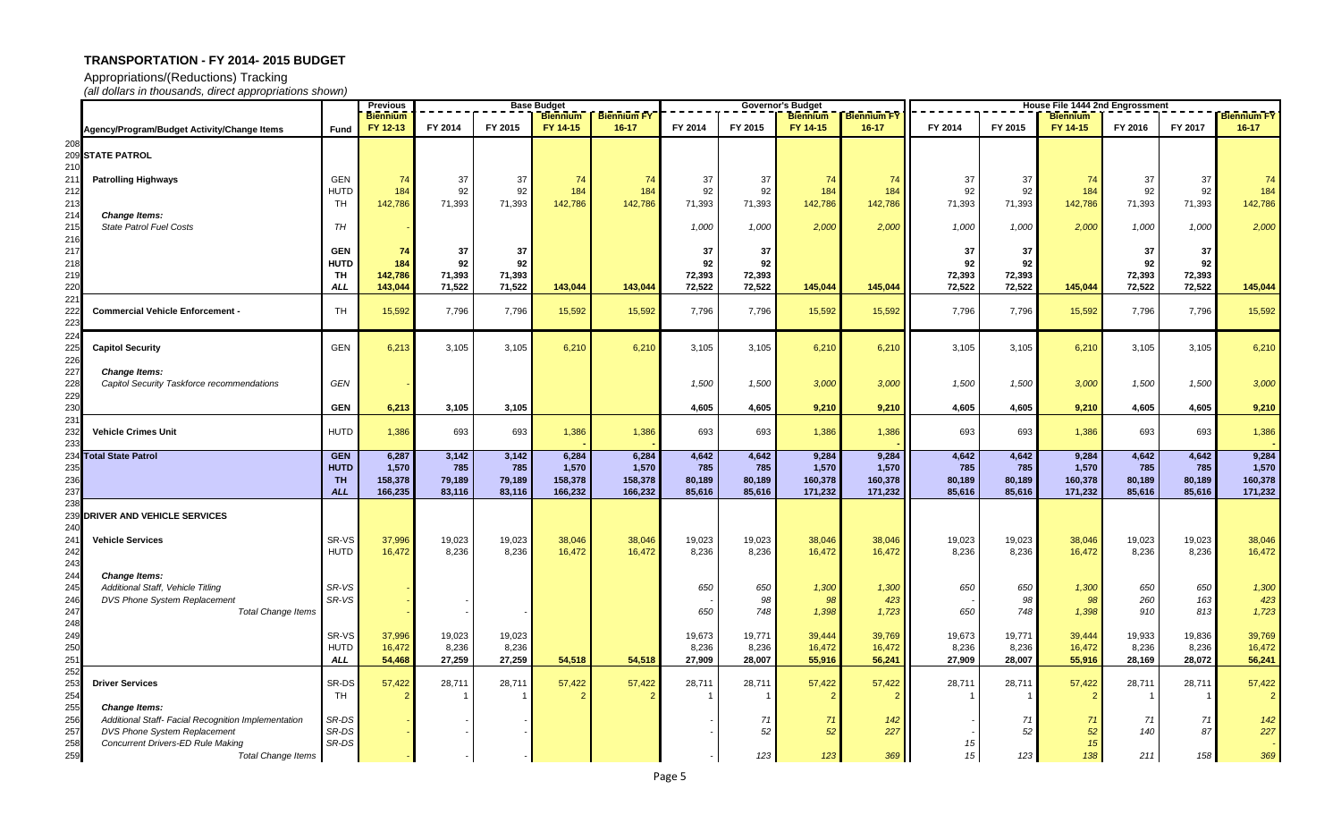Appropriations/(Reductions) Tracking

|            |                                                                          |                          | <b>Previous</b><br>Base Budget |                 |                 |                  |                                 |                 |                 | Governor's Budget |                                 | <b>House File 1444 2nd Engrossment</b> |                 |                             |                 |                 |                                 |
|------------|--------------------------------------------------------------------------|--------------------------|--------------------------------|-----------------|-----------------|------------------|---------------------------------|-----------------|-----------------|-------------------|---------------------------------|----------------------------------------|-----------------|-----------------------------|-----------------|-----------------|---------------------------------|
|            |                                                                          |                          | <b>Biennium</b><br>FY 12-13    | FY 2014         | FY 2015         | FY 14-15         | <b>Biennium FY</b><br>$16 - 17$ | FY 2014         | FY 2015         | FY 14-15          | <b>Biennium FY</b><br>$16 - 17$ | FY 2014                                | FY 2015         | <b>Biennium</b><br>FY 14-15 | FY 2016         | FY 2017         | <b>Biennium FY</b><br>$16 - 17$ |
| 208        | Agency/Program/Budget Activity/Change Items                              | <b>Fund</b>              |                                |                 |                 |                  |                                 |                 |                 |                   |                                 |                                        |                 |                             |                 |                 |                                 |
|            | 209 STATE PATROL                                                         |                          |                                |                 |                 |                  |                                 |                 |                 |                   |                                 |                                        |                 |                             |                 |                 |                                 |
| 210        |                                                                          |                          |                                |                 |                 |                  |                                 |                 |                 |                   |                                 |                                        |                 |                             |                 |                 |                                 |
| 211        | <b>Patrolling Highways</b>                                               | <b>GEN</b>               | -74                            | 37              | 37              | 74               | 74                              | 37              | 37              | 74                | 74                              | 37                                     | 37              | 74                          | -37             | 37              | 74                              |
| 212        |                                                                          | <b>HUTD</b>              | 184                            | 92              | 92              | 184              | 184                             | 92              | 92              | 184               | 184                             | 92                                     | 92              | 184                         | 92              | 92              | 184                             |
| 213<br>214 | <b>Change Items:</b>                                                     | TH                       | 142,786                        | 71,393          | 71,393          | 142,786          | 142,786                         | 71,393          | 71,393          | 142,786           | 142,786                         | 71,393                                 | 71,393          | 142,786                     | 71,393          | 71,393          | 142,786                         |
| 215        | <b>State Patrol Fuel Costs</b>                                           | TН                       |                                |                 |                 |                  |                                 | 1,000           | 1,000           | 2,000             | 2,000                           | 1,000                                  | 1,000           | 2,000                       | 1,000           | 1,000           | 2,000                           |
| 216        |                                                                          |                          |                                |                 |                 |                  |                                 |                 |                 |                   |                                 |                                        |                 |                             |                 |                 |                                 |
| 217        |                                                                          | <b>GEN</b>               | 74                             | 37              | 37              |                  |                                 | 37              | 37              |                   |                                 | 37                                     | 37              |                             | 37              | 37              |                                 |
| 218<br>219 |                                                                          | <b>HUTD</b><br><b>TH</b> | 184<br>142,786                 | 92<br>71,393    | 92<br>71,393    |                  |                                 | 92<br>72,393    | 92<br>72,393    |                   |                                 | 92<br>72,393                           | 92<br>72,393    |                             | 92<br>72,393    | 92<br>72,393    |                                 |
| 220        |                                                                          | <b>ALL</b>               | 143,044                        | 71,522          | 71,522          | 143,044          | 143,044                         | 72,522          | 72,522          | 145,044           | 145,044                         | 72,522                                 | 72,522          | 145,044                     | 72,522          | 72,522          | 145,044                         |
| 221        |                                                                          |                          |                                |                 |                 |                  |                                 |                 |                 |                   |                                 |                                        |                 |                             |                 |                 |                                 |
| 222        | <b>Commercial Vehicle Enforcement</b>                                    | <b>TH</b>                | 15,592                         | 7,796           | 7,796           | 15,592           | 15,592                          | 7,796           | 7,796           | 15,592            | 15,592                          | 7,796                                  | 7,796           | 15,592                      | 7,796           | 7,796           | 15,592                          |
| 223<br>224 |                                                                          |                          |                                |                 |                 |                  |                                 |                 |                 |                   |                                 |                                        |                 |                             |                 |                 |                                 |
| 225        | <b>Capitol Security</b>                                                  | <b>GEN</b>               | 6,213                          | 3,105           | 3,105           | 6,210            | 6,210                           | 3,105           | 3,105           | 6,210             | 6,210                           | 3,105                                  | 3,105           | 6,210                       | 3,105           | 3,105           | 6,210                           |
| 226        |                                                                          |                          |                                |                 |                 |                  |                                 |                 |                 |                   |                                 |                                        |                 |                             |                 |                 |                                 |
| 227        | <b>Change Items:</b><br>Capitol Security Taskforce recommendations       | GEN                      |                                |                 |                 |                  |                                 | 1,500           | 1,500           | 3,000             | 3,000                           | 1,500                                  | 1,500           | 3,000                       | 1,500           | 1,500           | 3,000                           |
| 228<br>229 |                                                                          |                          |                                |                 |                 |                  |                                 |                 |                 |                   |                                 |                                        |                 |                             |                 |                 |                                 |
| 230        |                                                                          | <b>GEN</b>               | 6,213                          | 3,105           | 3,105           |                  |                                 | 4,605           | 4,605           | 9,210             | 9,210                           | 4,605                                  | 4,605           | 9,210                       | 4,605           | 4,605           | 9,210                           |
| 231        |                                                                          |                          |                                |                 |                 |                  |                                 |                 |                 |                   |                                 |                                        |                 |                             |                 |                 |                                 |
| 232<br>233 | <b>Vehicle Crimes Unit</b>                                               | <b>HUTD</b>              | 1,386                          | 693             | 693             | 1,386            | 1,386                           | 693             | 693             | 1,386             | 1,386                           | 693                                    | 693             | 1,386                       | 693             | 693             | 1,386                           |
| 234        | <b>Total State Patrol</b>                                                | <b>GEN</b>               | 6,287                          | 3,142           | 3,142           | 6,284            | 6,284                           | 4,642           | 4,642           | 9,284             | 9,284                           | 4,642                                  | 4,642           | 9,284                       | 4,642           | 4,642           | 9,284                           |
| 235        |                                                                          | <b>HUTD</b>              | 1,570                          | 785             | 785             | 1,570            | 1,570                           | 785             | 785             | 1,570             | 1,570                           | 785                                    | 785             | 1,570                       | 785             | 785             | 1,570                           |
| 236        |                                                                          | <b>TH</b>                | 158,378                        | 79,189          | 79,189          | 158,378          | 158,378                         | 80,189          | 80,189          | 160,378           | 160,378                         | 80,189                                 | 80,189          | 160,378                     | 80,189          | 80,189          | 160,378                         |
| 237<br>238 |                                                                          | <b>ALL</b>               | 166,235                        | 83,116          | 83,116          | 166,232          | 166,232                         | 85,616          | 85,616          | 171,232           | 171,232                         | 85,616                                 | 85,616          | 171,232                     | 85,616          | 85,616          | 171,232                         |
| 239        | <b>DRIVER AND VEHICLE SERVICES</b>                                       |                          |                                |                 |                 |                  |                                 |                 |                 |                   |                                 |                                        |                 |                             |                 |                 |                                 |
| 240        |                                                                          |                          |                                |                 |                 |                  |                                 |                 |                 |                   |                                 |                                        |                 |                             |                 |                 |                                 |
| 241<br>242 | <b>Vehicle Services</b>                                                  | SR-VS<br><b>HUTD</b>     | 37,996<br>16,472               | 19,023<br>8,236 | 19,023<br>8,236 | 38,046<br>16,472 | 38,046<br>16,472                | 19,023<br>8,236 | 19,023<br>8,236 | 38,046<br>16,472  | 38,046<br>16,472                | 19,023<br>8,236                        | 19,023<br>8,236 | 38,046<br>16,472            | 19,023<br>8,236 | 19,023<br>8,236 | 38,046<br>16,472                |
| 243        |                                                                          |                          |                                |                 |                 |                  |                                 |                 |                 |                   |                                 |                                        |                 |                             |                 |                 |                                 |
| 244        | <b>Change Items:</b>                                                     |                          |                                |                 |                 |                  |                                 |                 |                 |                   |                                 |                                        |                 |                             |                 |                 |                                 |
| 245        | Additional Staff, Vehicle Titling                                        | SR-VS                    |                                |                 |                 |                  |                                 | 650             | 650             | 1,300             | 1,300                           | 650                                    | 650             | 1,300                       | 650             | 650             | 1,300                           |
| 246        | DVS Phone System Replacement<br><b>Total Change Items</b>                | SR-VS                    |                                |                 |                 |                  |                                 |                 | 98              | 98                | 423                             |                                        | 98              |                             | 260             | 163             | 423                             |
| 247<br>248 |                                                                          |                          |                                |                 |                 |                  |                                 | 650             | 748             | 1,398             | 1,723                           | 650                                    | 748             | 1,398                       | 910             | 813             | 1,723                           |
| 249        |                                                                          | SR-VS                    | 37,996                         | 19,023          | 19,023          |                  |                                 | 19,673          | 19,771          | 39,444            | 39,769                          | 19,673                                 | 19,771          | 39,444                      | 19,933          | 19,836          | 39,769                          |
| 250        |                                                                          | <b>HUTD</b>              | 16,472                         | 8,236           | 8,236           |                  |                                 | 8,236           | 8,236           | 16,472            | 16,472                          | 8,236                                  | 8,236           | 16,472                      | 8,236           | 8,236           | 16,472                          |
| 251        |                                                                          | <b>ALL</b>               | 54,468                         | 27,259          | 27,259          | 54,518           | 54,518                          | 27,909          | 28,007          | 55,916            | 56,241                          | 27,909                                 | 28,007          | 55,916                      | 28,169          | 28,072          | 56,241                          |
| 252<br>253 | <b>Driver Services</b>                                                   | SR-DS                    | 57,422                         | 28,711          | 28,711          | 57,422           | 57,422                          | 28,711          | 28,711          | 57,422            | 57,422                          | 28,711                                 | 28,711          | 57,422                      | 28,711          | 28,711          | 57,422                          |
| 254        |                                                                          | TH                       | $\overline{2}$                 |                 |                 |                  |                                 |                 |                 |                   |                                 |                                        |                 |                             |                 |                 | $\overline{2}$                  |
| 255        | <b>Change Items:</b>                                                     |                          |                                |                 |                 |                  |                                 |                 |                 |                   |                                 |                                        |                 |                             |                 |                 |                                 |
| 256        | Additional Staff- Facial Recognition Implementation                      | SR-DS<br>SR-DS           |                                |                 |                 |                  |                                 |                 | 71              | 71                | 142<br>227                      |                                        | -71<br>52       | $\overline{7}$              | -71             | 71              | $142$                           |
| 257<br>258 | DVS Phone System Replacement<br><b>Concurrent Drivers-ED Rule Making</b> | SR-DS                    |                                |                 |                 |                  |                                 |                 | 52              | 52                |                                 | 15 <sup>1</sup>                        |                 | 52<br>15                    | 140             | 87              | 227                             |
| 259        | <b>Total Change Items</b>                                                |                          |                                |                 |                 |                  |                                 |                 | 123             | 123               | 369                             | 15                                     | 123             | 138                         | 211             | 158             | 369                             |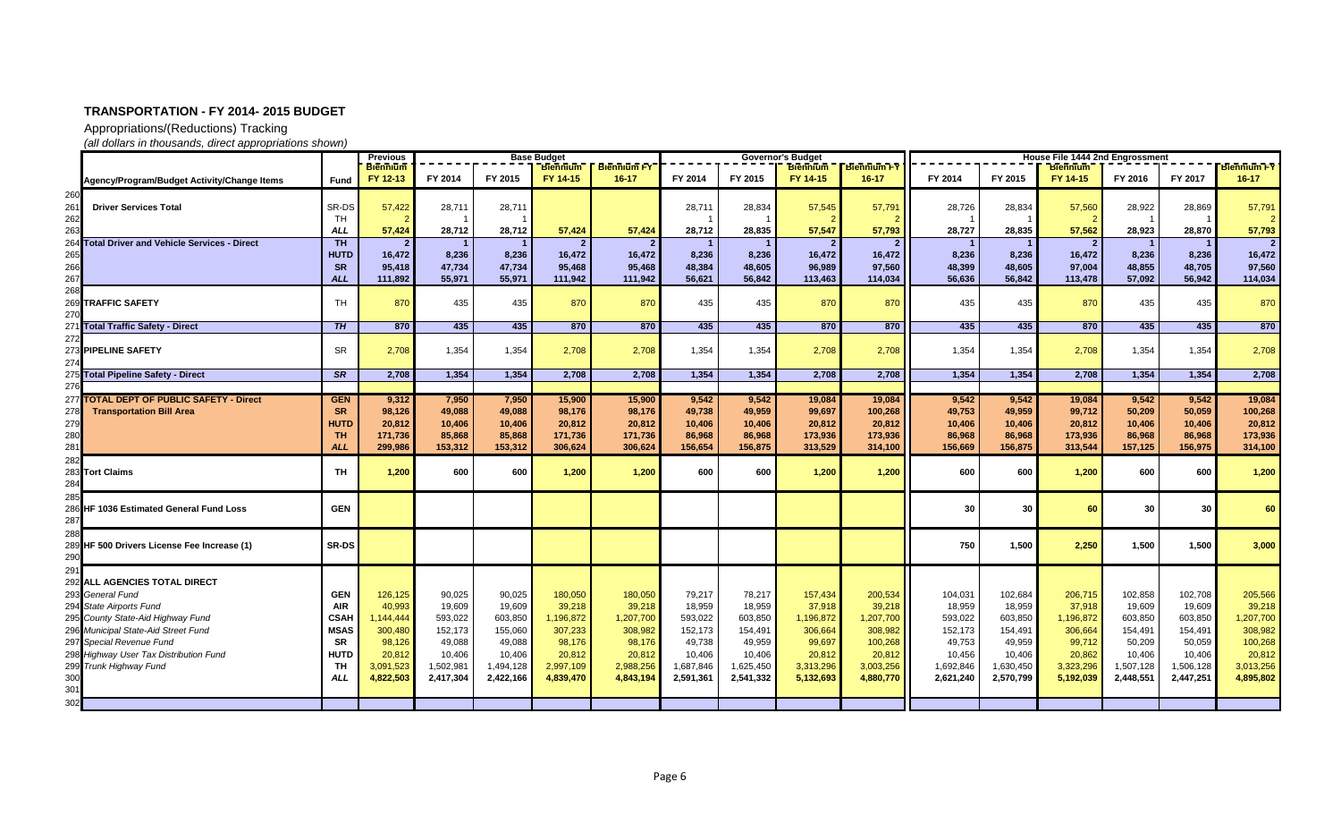Appropriations/(Reductions) Tracking

|            |                                                   |                         | <b>Previous</b><br><b>Base Budget</b> |                  |                  |                   |                    |                  |                  | <b>Governor's Budget</b> |                    | House File 1444 2nd Engrossment |                  |                   |                  |                  |                    |
|------------|---------------------------------------------------|-------------------------|---------------------------------------|------------------|------------------|-------------------|--------------------|------------------|------------------|--------------------------|--------------------|---------------------------------|------------------|-------------------|------------------|------------------|--------------------|
|            |                                                   |                         | <b>Biennium</b>                       |                  |                  | <b>Biennium</b>   | <b>Biennium FY</b> |                  |                  | <b>Biennium</b>          | <b>Biennium FY</b> |                                 |                  | <b>Biennium</b>   |                  |                  | <b>Biennium FY</b> |
|            | Agency/Program/Budget Activity/Change Items       | <b>Fund</b>             | FY 12-13                              | FY 2014          | FY 2015          | FY 14-15          | $16 - 17$          | FY 2014          | FY 2015          | FY 14-15                 | $16 - 17$          | FY 2014                         | FY 2015          | FY 14-15          | FY 2016          | FY 2017          | $16 - 17$          |
| 260        |                                                   |                         |                                       |                  |                  |                   |                    |                  |                  |                          |                    |                                 |                  |                   |                  |                  |                    |
| 261        | <b>Driver Services Total</b>                      | SR-DS                   | 57,422                                | 28,711           | 28,711           |                   |                    | 28,711           | 28,834           | 57,545                   | 57,791             | 28,726                          | 28,834           | 57,560            | 28,922           | 28,869           | 57,791             |
| 262        |                                                   | TH                      |                                       |                  |                  |                   |                    |                  |                  |                          |                    |                                 |                  |                   |                  |                  | $\mathcal{P}$      |
| 263        |                                                   | <b>ALL</b>              | 57,424                                | 28,712           | 28,712           | 57,424            | 57,424             | 28,712           | 28,835           | 57,547                   | 57,793             | 28,727                          | 28,835           | 57,562            | 28,923           | 28,870           | 57,793             |
| 264        | <b>Total Driver and Vehicle Services - Direct</b> | T <sub>H</sub>          | $\overline{2}$                        | $\overline{1}$   |                  |                   | $\overline{2}$     |                  |                  |                          |                    |                                 |                  | 2 <sup>1</sup>    |                  |                  | 2                  |
| 265        |                                                   | <b>HUTD</b>             | 16,472                                | 8,236            | 8,236            | 16,472            | 16,472             | 8,236            | 8,236            | 16,472                   | 16,472             | 8,236                           | 8,236            | 16,472            | 8,236            | 8,236            | 16,472             |
| 266<br>267 |                                                   | <b>SR</b><br><b>ALL</b> | 95,418<br>111,892                     | 47,734<br>55,971 | 47,734<br>55,971 | 95,468<br>111,942 | 95,468<br>111,942  | 48,384<br>56,621 | 48,605<br>56,842 | 96,989<br>113,463        | 97,560<br>114,034  | 48,399<br>56,636                | 48,605<br>56,842 | 97,004<br>113,478 | 48,855<br>57,092 | 48,705<br>56,942 | 97,560<br>114,034  |
| 268        |                                                   |                         |                                       |                  |                  |                   |                    |                  |                  |                          |                    |                                 |                  |                   |                  |                  |                    |
|            | 269 TRAFFIC SAFETY                                | <b>TH</b>               | 870                                   | 435              | 435              | 870               | 870                | 435              | 435              | 870                      | 870                | 435                             | 435              | 870               | 435              | 435              | 870                |
| 270        |                                                   |                         |                                       |                  |                  |                   |                    |                  |                  |                          |                    |                                 |                  |                   |                  |                  |                    |
|            | 271 Total Traffic Safety - Direct                 | TH.                     | 870                                   | 435              | 435              | 870               | 870                | 435              | 435              | 870                      | 870                | 435                             | 435              | 870               | 435              | 435              | 870                |
|            |                                                   |                         |                                       |                  |                  |                   |                    |                  |                  |                          |                    |                                 |                  |                   |                  |                  |                    |
|            | 273 PIPELINE SAFETY                               | <b>SR</b>               | 2,708                                 | 1,354            | 1,354            | 2,708             | 2,708              | 1,354            | 1,354            | 2,708                    | 2,708              | 1,354                           | 1,354            | 2.708             | 1,354            | 1,354            | 2,708              |
| 274        |                                                   |                         |                                       |                  |                  |                   |                    |                  |                  |                          |                    |                                 |                  |                   |                  |                  |                    |
|            | 275 Total Pipeline Safety - Direct                | <b>SR</b>               | 2,708                                 | 1,354            | 1,354            | 2,708             | 2,708              | 1,354            | 1,354            | 2,708                    | 2.708              | 1.354                           | 1,354            | 2,708             | 1.354            | 1,354            | 2,708              |
| 276        |                                                   |                         |                                       |                  |                  |                   |                    |                  |                  |                          |                    |                                 |                  |                   |                  |                  |                    |
|            | 277 TOTAL DEPT OF PUBLIC SAFETY - Direct          | <b>GEN</b><br><b>SR</b> | 9,312                                 | 7,950            | 7,950            | 15,900            | 15,900             | 9,542            | 9,542            | 19,084                   | 19,084             | 9,542                           | 9,542            | 19,084            | 9,542            | 9,542            | 19,084             |
| 278        | <b>Transportation Bill Area</b>                   | <b>HUTD</b>             | 98,126                                | 49,088<br>10,406 | 49,088           | 98,176            | 98,176             | 49,738           | 49,959           | 99,697                   | 100,268            | 49,753                          | 49,959           | 99,712            | 50,209           | 50,059           | 100,268<br>20,812  |
| 279<br>280 |                                                   | <b>TH</b>               | 20,812<br>171,736                     | 85,868           | 10,406<br>85,868 | 20,812<br>171,736 | 20,812<br>171,736  | 10,406<br>86,968 | 10,406<br>86,968 | 20,812<br>173,936        | 20,812<br>173,936  | 10,406<br>86,968                | 10,406<br>86,968 | 20,812<br>173,936 | 10,406<br>86,968 | 10,406<br>86,968 | 173,936            |
| 281        |                                                   | <b>ALL</b>              | 299,986                               | 153,312          | 153,312          | 306.624           | 306,624            | 156,654          | 156,875          | 313,529                  | 314,100            | 156,669                         | 156,875          | 313,544           | 157,125          | 156,975          | 314,100            |
| 282        |                                                   |                         |                                       |                  |                  |                   |                    |                  |                  |                          |                    |                                 |                  |                   |                  |                  |                    |
| 283li      | <b>Tort Claims</b>                                | <b>TH</b>               | 1,200                                 | 600              | 600              | 1,200             | 1,200              | 600              | 600              | 1,200                    | 1,200              | 600                             | 600              | 1,200             | 600              | 600              | 1,200              |
| 284        |                                                   |                         |                                       |                  |                  |                   |                    |                  |                  |                          |                    |                                 |                  |                   |                  |                  |                    |
| 285        |                                                   |                         |                                       |                  |                  |                   |                    |                  |                  |                          |                    |                                 |                  |                   |                  |                  |                    |
|            | 286 HF 1036 Estimated General Fund Loss           | <b>GEN</b>              |                                       |                  |                  |                   |                    |                  |                  |                          |                    | 30                              | 30               | 60                | 30               | 30               | 60                 |
| 287        |                                                   |                         |                                       |                  |                  |                   |                    |                  |                  |                          |                    |                                 |                  |                   |                  |                  |                    |
| 288        |                                                   |                         |                                       |                  |                  |                   |                    |                  |                  |                          |                    |                                 |                  |                   |                  |                  |                    |
| 290        | 289 HF 500 Drivers License Fee Increase (1)       | <b>SR-DS</b>            |                                       |                  |                  |                   |                    |                  |                  |                          |                    | 750                             | 1,500            | 2,250             | 1,500            | 1,500            | 3,000              |
| 291        |                                                   |                         |                                       |                  |                  |                   |                    |                  |                  |                          |                    |                                 |                  |                   |                  |                  |                    |
|            | 292 ALL AGENCIES TOTAL DIRECT                     |                         |                                       |                  |                  |                   |                    |                  |                  |                          |                    |                                 |                  |                   |                  |                  |                    |
|            | 293 General Fund                                  | <b>GEN</b>              | 126,125                               | 90,025           | 90,025           | 180,050           | 180,050            | 79,217           | 78,217           | 157,434                  | 200,534            | 104,031                         | 102,684          | 206,715           | 102,858          | 102,708          | 205,566            |
|            | 294 State Airports Fund                           | <b>AIR</b>              | 40,993                                | 19,609           | 19,609           | 39,218            | 39,218             | 18,959           | 18,959           | 37,918                   | 39,218             | 18,959                          | 18,959           | 37,918            | 19,609           | 19,609           | 39,218             |
|            | 295 County State-Aid Highway Fund                 | <b>CSAH</b>             | 1,144,444                             | 593,022          | 603,850          | 1,196,872         | 1,207,700          | 593,022          | 603,850          | 1,196,872                | 1,207,700          | 593,022                         | 603,850          | 1,196,872         | 603,850          | 603,850          | 1,207,700          |
|            | 296 Municipal State-Aid Street Fund               | <b>MSAS</b>             | 300,480                               | 152,173          | 155,060          | 307,233           | 308,982            | 152,173          | 154,491          | 306,664                  | 308,982            | 152,173                         | 154,491          | 306,664           | 154,491          | 154,491          | 308,982            |
|            | 297 Special Revenue Fund                          | <b>SR</b>               | 98,126                                | 49,088           | 49,088           | 98,176            | 98,176             | 49,738           | 49,959           | 99,697                   | 100,268            | 49,753                          | 49,959           | 99,712            | 50,209           | 50,059           | 100,268            |
|            | 298 Highway User Tax Distribution Fund            | <b>HUTD</b>             | 20,812                                | 10,406           | 10,406           | 20,812            | 20,812             | 10,406           | 10,406           | 20,812                   | 20,812             | 10,456                          | 10,406           | 20,862            | 10,406           | 10,406           | 20,812             |
|            | 299 Trunk Highway Fund                            | TH                      | 3,091,523                             | 1,502,981        | 1,494,128        | 2,997,109         | 2,988,256          | 1,687,846        | 1,625,450        | 3,313,296                | 3,003,256          | 1,692,846                       | 1,630,450        | 3,323,296         | 1,507,128        | 1,506,128        | 3,013,256          |
| 300        |                                                   | <b>ALL</b>              | 4,822,503                             | 2,417,304        | 2,422,166        | 4,839,470         | 4,843,194          | 2,591,361        | 2,541,332        | 5,132,693                | 4,880,770          | 2,621,240                       | 2,570,799        | 5,192,039         | 2,448,551        | 2,447,251        | 4,895,802          |
| 301        |                                                   |                         |                                       |                  |                  |                   |                    |                  |                  |                          |                    |                                 |                  |                   |                  |                  |                    |
| 302        |                                                   |                         |                                       |                  |                  |                   |                    |                  |                  |                          |                    |                                 |                  |                   |                  |                  |                    |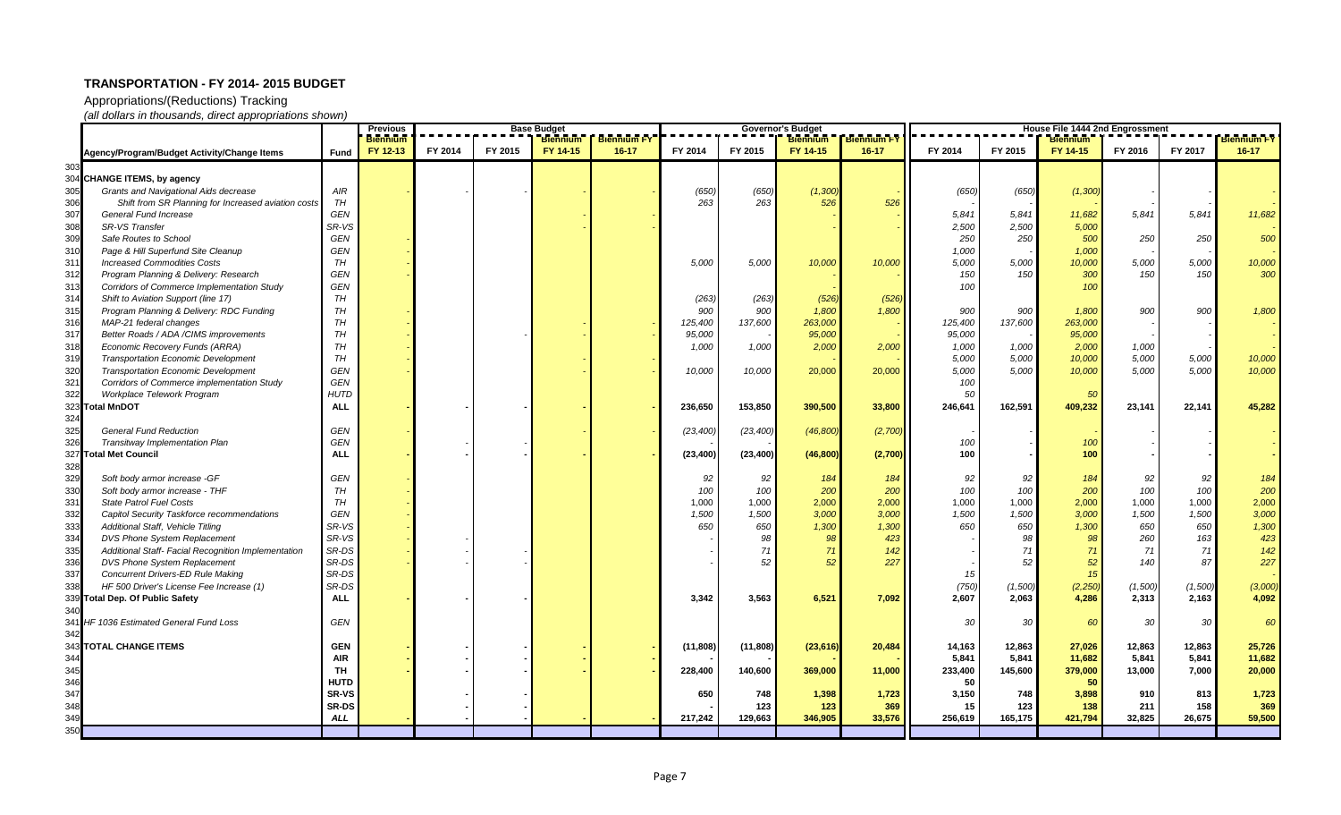Appropriations/(Reductions) Tracking

|      |                                                     |              | <b>Previous</b>             | <b>Base Budget</b><br><b>Biennium</b> |         |          |                                 | <b>Governor's Budget</b><br><b>Biennium</b><br><b>Biennium FY</b> |           |           |           | House File 1444 2nd Engrossment<br><b>Biennium FY</b> |                 |                             |                |                 |           |
|------|-----------------------------------------------------|--------------|-----------------------------|---------------------------------------|---------|----------|---------------------------------|-------------------------------------------------------------------|-----------|-----------|-----------|-------------------------------------------------------|-----------------|-----------------------------|----------------|-----------------|-----------|
|      |                                                     |              | <b>Biennium</b><br>FY 12-13 | FY 2014                               | FY 2015 | FY 14-15 | <b>Biennium FY</b><br>$16 - 17$ | FY 2014                                                           | FY 2015   | FY 14-15  | $16 - 17$ | FY 2014                                               | FY 2015         | <b>Biennium</b><br>FY 14-15 | FY 2016        | FY 2017         | $16 - 17$ |
|      | Agency/Program/Budget Activity/Change Items         | Fund         |                             |                                       |         |          |                                 |                                                                   |           |           |           |                                                       |                 |                             |                |                 |           |
| 303  |                                                     |              |                             |                                       |         |          |                                 |                                                                   |           |           |           |                                                       |                 |                             |                |                 |           |
|      | 304 CHANGE ITEMS, by agency                         |              |                             |                                       |         |          |                                 |                                                                   |           |           |           |                                                       |                 |                             |                |                 |           |
| 305  | Grants and Navigational Aids decrease               | AIR          |                             |                                       |         |          |                                 | (650)                                                             | (650)     | (1,300)   |           | (650)                                                 | (650)           | (1,300)                     |                |                 |           |
| 306  | Shift from SR Planning for Increased aviation costs | TH           |                             |                                       |         |          |                                 | 263                                                               | 263       | 526       | 526       |                                                       |                 |                             |                |                 |           |
| 307  | <b>General Fund Increase</b>                        | <b>GEN</b>   |                             |                                       |         |          |                                 |                                                                   |           |           |           | 5,841                                                 | 5,841           | 11,682                      | 5,841          | 5,841           | 11,682    |
| 308  | SR-VS Transfer                                      | SR-VS        |                             |                                       |         |          |                                 |                                                                   |           |           |           | 2,500                                                 | 2,500           | 5,000                       |                |                 |           |
| 309  | Safe Routes to School                               | GEN          |                             |                                       |         |          |                                 |                                                                   |           |           |           | 250                                                   | 250             | 500                         | 250            | 250             | 500       |
| 310  | Page & Hill Superfund Site Cleanup                  | GEN          |                             |                                       |         |          |                                 |                                                                   |           |           |           | 1,000                                                 |                 | 1,000                       |                |                 |           |
| 311  | <b>Increased Commodities Costs</b>                  | <b>TH</b>    |                             |                                       |         |          |                                 | 5,000                                                             | 5,000     | 10,000    | 10,000    | 5,000                                                 | 5,000           | 10,000                      | 5,000          | 5,000           | 10,000    |
| 312  | Program Planning & Delivery: Research               | GEN          |                             |                                       |         |          |                                 |                                                                   |           |           |           | 150                                                   | 150             | 300                         | 150            | 150             | 300       |
| 313  | <b>Corridors of Commerce Implementation Study</b>   | GEN          |                             |                                       |         |          |                                 |                                                                   |           |           |           | 100                                                   |                 | 100                         |                |                 |           |
| 314  | Shift to Aviation Support (line 17)                 | TH           |                             |                                       |         |          |                                 | (263)                                                             | (263)     | (526)     | (526)     |                                                       |                 |                             |                |                 |           |
| 315  | Program Planning & Delivery: RDC Funding            | TH           |                             |                                       |         |          |                                 | 900                                                               | 900       | 1,800     | 1,800     | 900                                                   | 900             | 1,800                       | 900            | 900             | 1,800     |
| 316  | MAP-21 federal changes                              | <b>TH</b>    |                             |                                       |         |          |                                 | 125,400                                                           | 137,600   | 263,000   |           | 125,400                                               | 137,600         | 263,000                     |                |                 |           |
| 317  | Better Roads / ADA / CIMS improvements              | <b>TH</b>    |                             |                                       |         |          |                                 | 95,000                                                            |           | 95,000    |           | 95,000                                                |                 | 95,000                      |                |                 |           |
| 318  | Economic Recovery Funds (ARRA)                      | TH           |                             |                                       |         |          |                                 | 1,000                                                             | 1,000     | 2,000     | 2,000     | 1,000                                                 | 1,000           | 2,000                       | 1,000          |                 |           |
| 319  | Transportation Economic Development                 | TH           |                             |                                       |         |          |                                 |                                                                   |           |           |           | 5,000                                                 | 5,000           | 10,000                      | 5,000          | 5,000           | 10,000    |
| 320  | <b>Transportation Economic Development</b>          | GEN          |                             |                                       |         |          |                                 | 10,000                                                            | 10,000    | 20,000    | 20,000    | 5,000                                                 | 5,000           | 10,000                      | 5,000          | 5,000           | 10,000    |
| 321  | Corridors of Commerce implementation Study          | GEN          |                             |                                       |         |          |                                 |                                                                   |           |           |           | 100                                                   |                 |                             |                |                 |           |
| 322  | Workplace Telework Program                          | <b>HUTD</b>  |                             |                                       |         |          |                                 |                                                                   |           |           |           | 50                                                    |                 | 50                          |                |                 |           |
|      | 323 Total MnDOT                                     | <b>ALL</b>   |                             |                                       |         |          |                                 | 236,650                                                           | 153,850   | 390,500   | 33,800    | 246,641                                               | 162,591         | 409,232                     | 23,141         | 22,141          | 45,282    |
| 324  |                                                     |              |                             |                                       |         |          |                                 |                                                                   |           |           |           |                                                       |                 |                             |                |                 |           |
| 325  | <b>General Fund Reduction</b>                       | GEN          |                             |                                       |         |          |                                 | (23, 400)                                                         | (23, 400) | (46, 800) | (2,700)   |                                                       |                 |                             |                |                 |           |
| 326  | <b>Transitway Implementation Plan</b>               | GEN          |                             |                                       |         |          |                                 |                                                                   |           |           |           | 100                                                   |                 | 100                         |                |                 |           |
|      | 327 Total Met Council                               | <b>ALL</b>   |                             |                                       |         |          |                                 | (23, 400)                                                         | (23, 400) | (46, 800) | (2,700)   | 100                                                   |                 | 100                         |                |                 |           |
| 328  |                                                     |              |                             |                                       |         |          |                                 |                                                                   |           |           |           |                                                       |                 |                             |                |                 |           |
| 329  | Soft body armor increase -GF                        | GEN          |                             |                                       |         |          |                                 | 92                                                                | 92        | 184       | 184       | 92                                                    | 92              | 184                         | 92             | 92              | 184       |
| 330  | Soft body armor increase - THF                      | <b>TH</b>    |                             |                                       |         |          |                                 | 100                                                               | 100       | 200       | 200       | 100                                                   | 100             | 200                         | 100            | 100             | 200       |
| 331  | <b>State Patrol Fuel Costs</b>                      | <b>TH</b>    |                             |                                       |         |          |                                 |                                                                   |           |           |           |                                                       | 1,000           | 2,000                       |                | 1,000           | 2,000     |
|      |                                                     |              |                             |                                       |         |          |                                 | 1,000                                                             | 1,000     | 2,000     | 2,000     | 1,000<br>1,500                                        | 1,500           |                             | 1,000<br>1,500 | 1,500           |           |
| 332  | Capitol Security Taskforce recommendations          | GEN          |                             |                                       |         |          |                                 | 1,500                                                             | 1,500     | 3,000     | 3,000     |                                                       |                 | 3,000                       |                |                 | 3,000     |
| 333  | Additional Staff, Vehicle Titling                   | SR-VS        |                             |                                       |         |          |                                 | 650                                                               | 650       | 1,300     | 1,300     | 650                                                   | 650             | 1,300                       | 650            | 650             | 1,300     |
| 334  | DVS Phone System Replacement                        | SR-VS        |                             |                                       |         |          |                                 |                                                                   | 98        | 98        | 423       |                                                       | 98              | 98                          | 260            | 163             | 423       |
| 335  | Additional Staff- Facial Recognition Implementation | SR-DS        |                             |                                       |         |          |                                 |                                                                   | 71        | 71        | 142       |                                                       | 71              | 71                          | 71             | 71              | 142       |
| 336  | DVS Phone System Replacement                        | SR-DS        |                             |                                       |         |          |                                 |                                                                   | 52        | 52        | 227       |                                                       | 52              | 52                          | 140            | 87              | 227       |
| 337  | <b>Concurrent Drivers-ED Rule Making</b>            | SR-DS        |                             |                                       |         |          |                                 |                                                                   |           |           |           | 15                                                    |                 | 15                          |                |                 |           |
| 338  | HF 500 Driver's License Fee Increase (1)            | SR-DS        |                             |                                       |         |          |                                 |                                                                   |           |           |           | (750)                                                 | (1,500)         | (2, 250)                    | (1,500)        | (1,500)         | (3,000)   |
|      | 339 Total Dep. Of Public Safety                     | <b>ALL</b>   |                             |                                       |         |          |                                 | 3,342                                                             | 3,563     | 6,521     | 7,092     | 2,607                                                 | 2,063           | 4,286                       | 2,313          | 2,163           | 4,092     |
| 340  |                                                     |              |                             |                                       |         |          |                                 |                                                                   |           |           |           |                                                       |                 |                             |                |                 |           |
|      | 341 HF 1036 Estimated General Fund Loss             | GEN          |                             |                                       |         |          |                                 |                                                                   |           |           |           | 30                                                    | 30 <sup>1</sup> | <b>60</b>                   | 30             | 30 <sup>°</sup> | 60        |
| 342I |                                                     |              |                             |                                       |         |          |                                 |                                                                   |           |           |           |                                                       |                 |                             |                |                 |           |
|      | <b>343 TOTAL CHANGE ITEMS</b>                       | <b>GEN</b>   |                             |                                       |         |          |                                 | (11, 808)                                                         | (11, 808) | (23, 616) | 20,484    | 14,163                                                | 12,863          | 27,026                      | 12,863         | 12,863          | 25,726    |
| 344  |                                                     | <b>AIR</b>   |                             |                                       |         |          |                                 |                                                                   |           |           |           | 5,841                                                 | 5,841           | 11,682                      | 5,841          | 5,841           | 11,682    |
| 345  |                                                     | TH           |                             |                                       |         |          |                                 | 228,400                                                           | 140,600   | 369,000   | 11,000    | 233,400                                               | 145,600         | 379,000                     | 13,000         | 7,000           | 20,000    |
| 346  |                                                     | <b>HUTD</b>  |                             |                                       |         |          |                                 |                                                                   |           |           |           | 50                                                    |                 | 50                          |                |                 |           |
| 347  |                                                     | <b>SR-VS</b> |                             |                                       |         |          |                                 | 650                                                               | 748       | 1,398     | 1,723     | 3,150                                                 | 748             | 3,898                       | 910            | 813             | 1,723     |
| 348  |                                                     | SR-DS        |                             |                                       |         |          |                                 |                                                                   | 123       | 123       | 369       | 15                                                    | 123             | 138                         | 211            | 158             | 369       |
| 349  |                                                     | <b>ALL</b>   |                             |                                       |         |          |                                 | 217,242                                                           | 129,663   | 346,905   | 33,576    | 256,619                                               | 165,175         | 421,794                     | 32,825         | 26,675          | 59,500    |
| 350  |                                                     |              |                             |                                       |         |          |                                 |                                                                   |           |           |           |                                                       |                 |                             |                |                 |           |